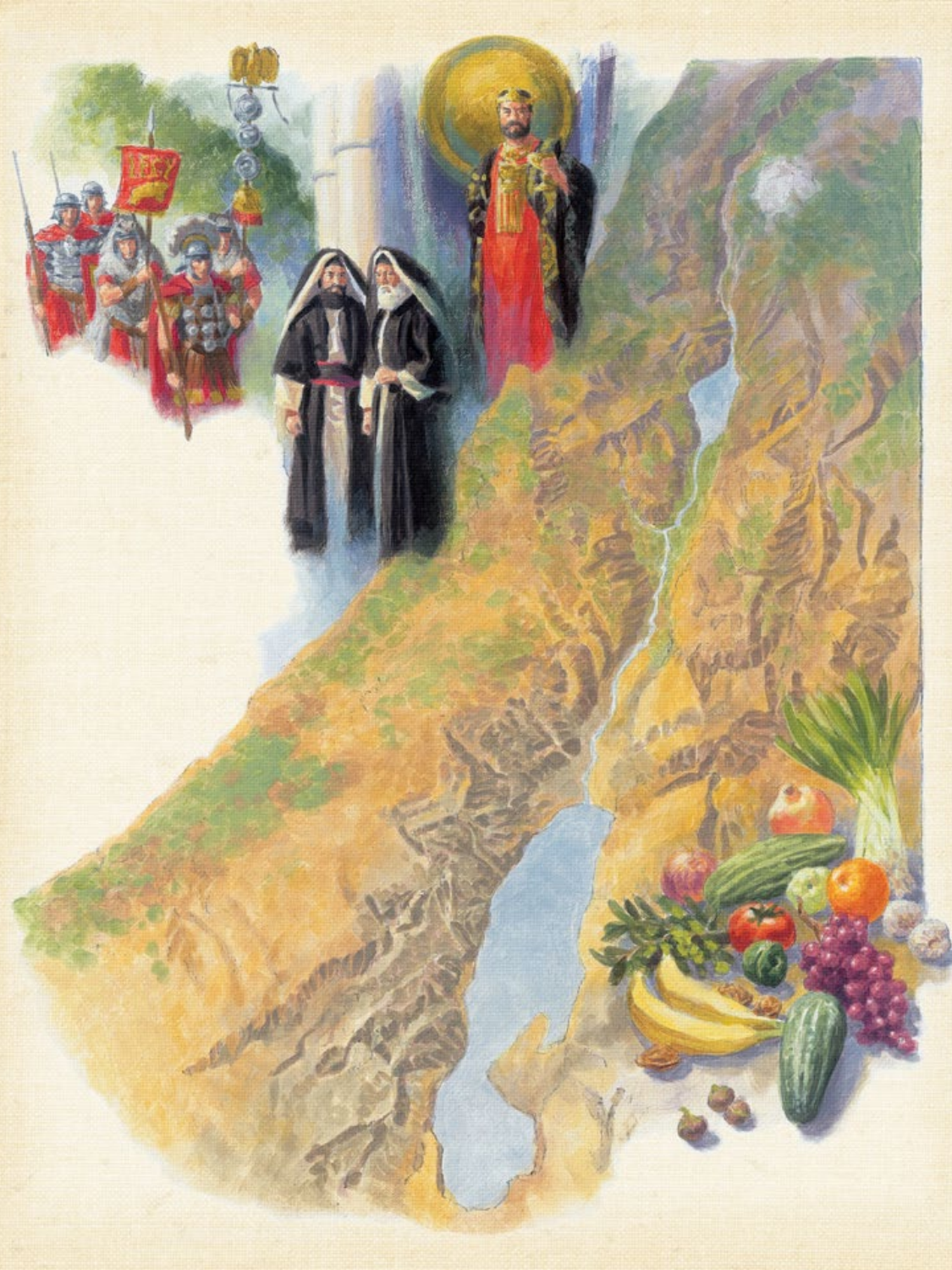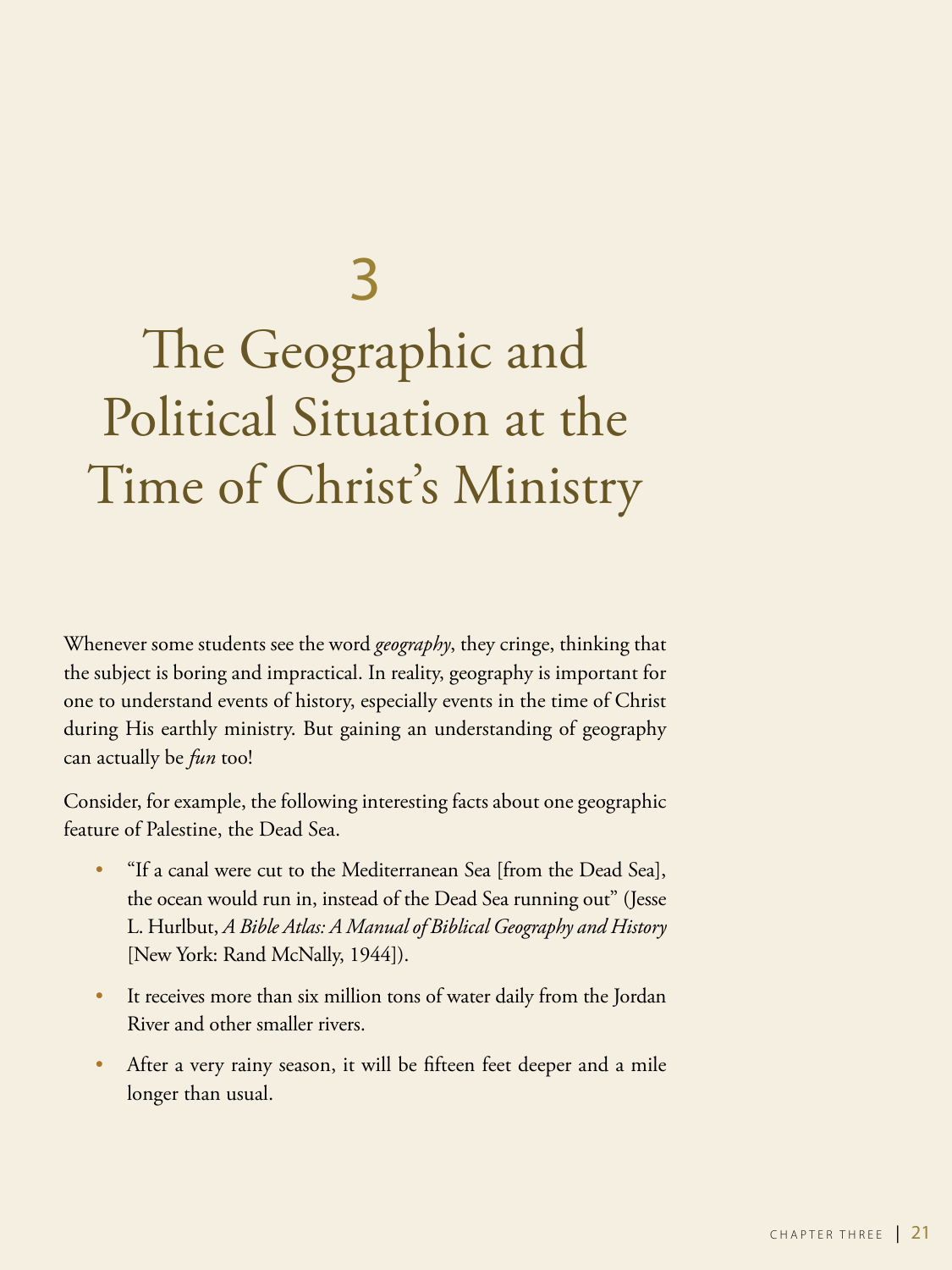# The Geographic and Political Situation at the Time of Christ's Ministry

3

Whenever some students see the word *geography*, they cringe, thinking that the subject is boring and impractical. In reality, geography is important for one to understand events of history, especially events in the time of Christ during His earthly ministry. But gaining an understanding of geography can actually be *fun* too!

Consider, for example, the following interesting facts about one geographic feature of Palestine, the Dead Sea.

- "If a canal were cut to the Mediterranean Sea [from the Dead Sea], the ocean would run in, instead of the Dead Sea running out" (Jesse L. Hurlbut, *A Bible Atlas: A Manual of Biblical Geography and History* [New York: Rand McNally, 1944]).
- It receives more than six million tons of water daily from the Jordan River and other smaller rivers.
- After a very rainy season, it will be fifteen feet deeper and a mile longer than usual.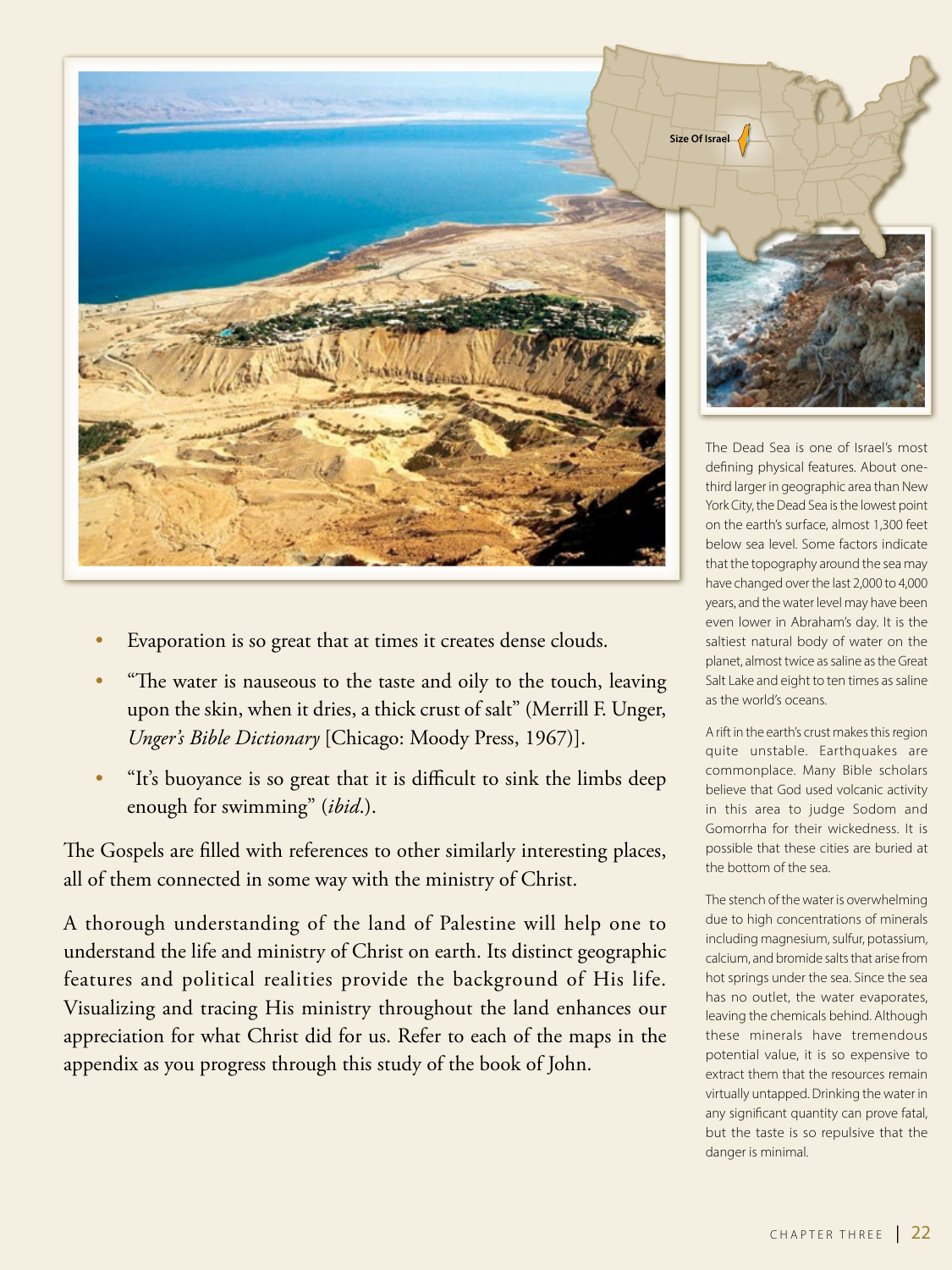

- Evaporation is so great that at times it creates dense clouds.
- "The water is nauseous to the taste and oily to the touch, leaving upon the skin, when it dries, a thick crust of salt" (Merrill F. Unger, *Unger's Bible Dictionary* [Chicago: Moody Press, 1967)].
- "It's buoyance is so great that it is difficult to sink the limbs deep enough for swimming" (*ibid*.).

The Gospels are filled with references to other similarly interesting places, all of them connected in some way with the ministry of Christ.

A thorough understanding of the land of Palestine will help one to understand the life and ministry of Christ on earth. Its distinct geographic features and political realities provide the background of His life. Visualizing and tracing His ministry throughout the land enhances our appreciation for what Christ did for us. Refer to each of the maps in the appendix as you progress through this study of the book of John.



The Dead Sea is one of Israel's most defining physical features. About onethird larger in geographic area than New York City, the Dead Sea is the lowest point on the earth's surface, almost 1,300 feet below sea level. Some factors indicate that the topography around the sea may have changed over the last 2,000 to 4,000 years, and the water level may have been even lower in Abraham's day. It is the saltiest natural body of water on the planet, almost twice as saline as the Great Salt Lake and eight to ten times as saline as the world's oceans.

A rift in the earth's crust makes this region quite unstable. Earthquakes are commonplace. Many Bible scholars believe that God used volcanic activity in this area to judge Sodom and Gomorrha for their wickedness. It is possible that these cities are buried at the bottom of the sea.

The stench of the water is overwhelming due to high concentrations of minerals including magnesium, sulfur, potassium, calcium, and bromide salts that arise from hot springs under the sea. Since the sea has no outlet, the water evaporates, leaving the chemicals behind. Although these minerals have tremendous potential value, it is so expensive to extract them that the resources remain virtually untapped. Drinking the water in any significant quantity can prove fatal, but the taste is so repulsive that the danger is minimal.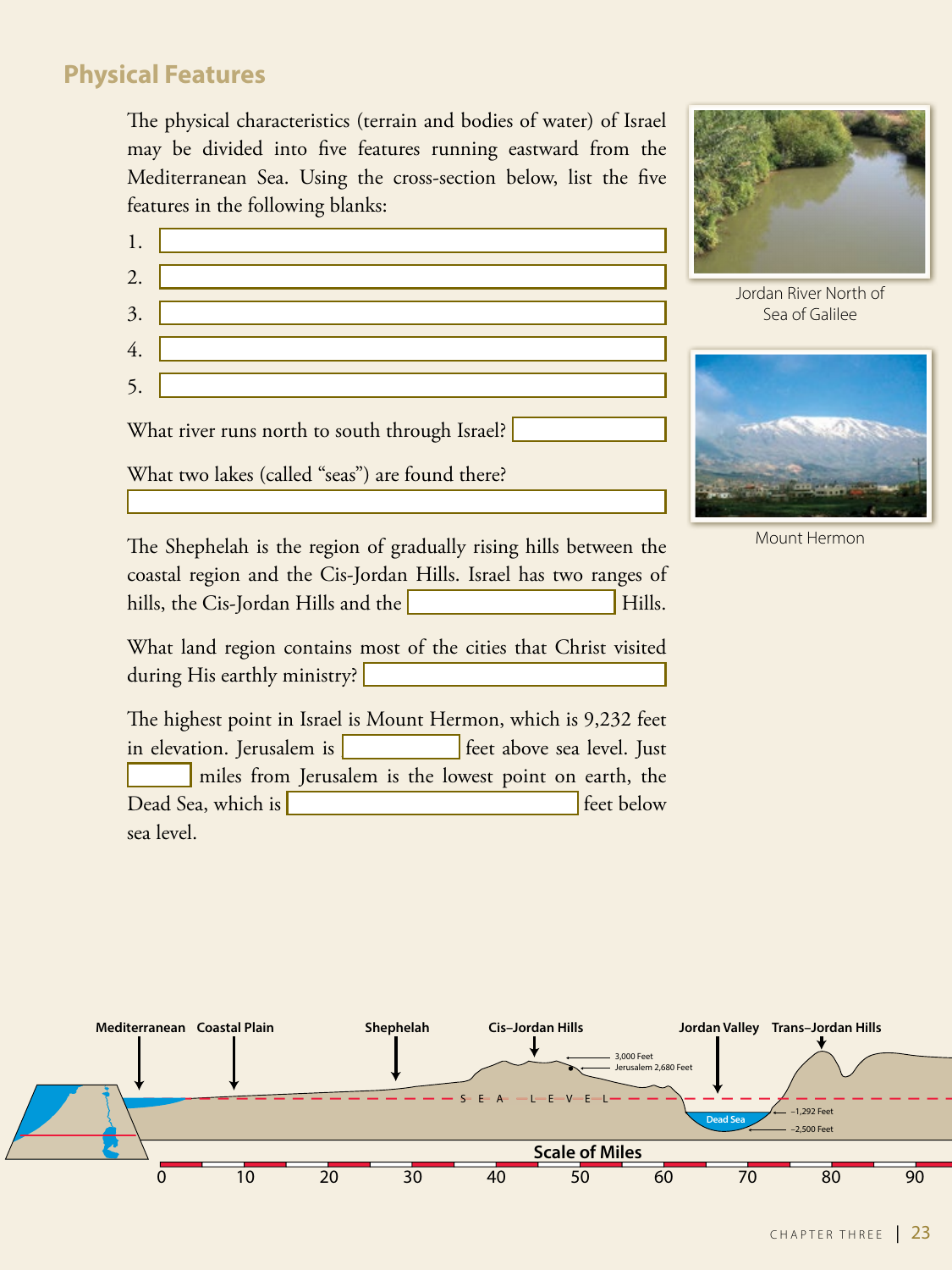## **Physical Features**

The physical characteristics (terrain and bodies of water) of Israel may be divided into five features running eastward from the Mediterranean Sea. Using the cross-section below, list the five features in the following blanks:



What two lakes (called "seas") are found there?



Jordan River North of Sea of Galilee



Mount Hermon

The Shephelah is the region of gradually rising hills between the coastal region and the Cis-Jordan Hills. Israel has two ranges of hills, the Cis-Jordan Hills and the  $\vert$  Hills.

What land region contains most of the cities that Christ visited during His earthly ministry?

The highest point in Israel is Mount Hermon, which is 9,232 feet in elevation. Jerusalem is **Figure 1** feet above sea level. Just miles from Jerusalem is the lowest point on earth, the Dead Sea, which is **feet below** sea level.

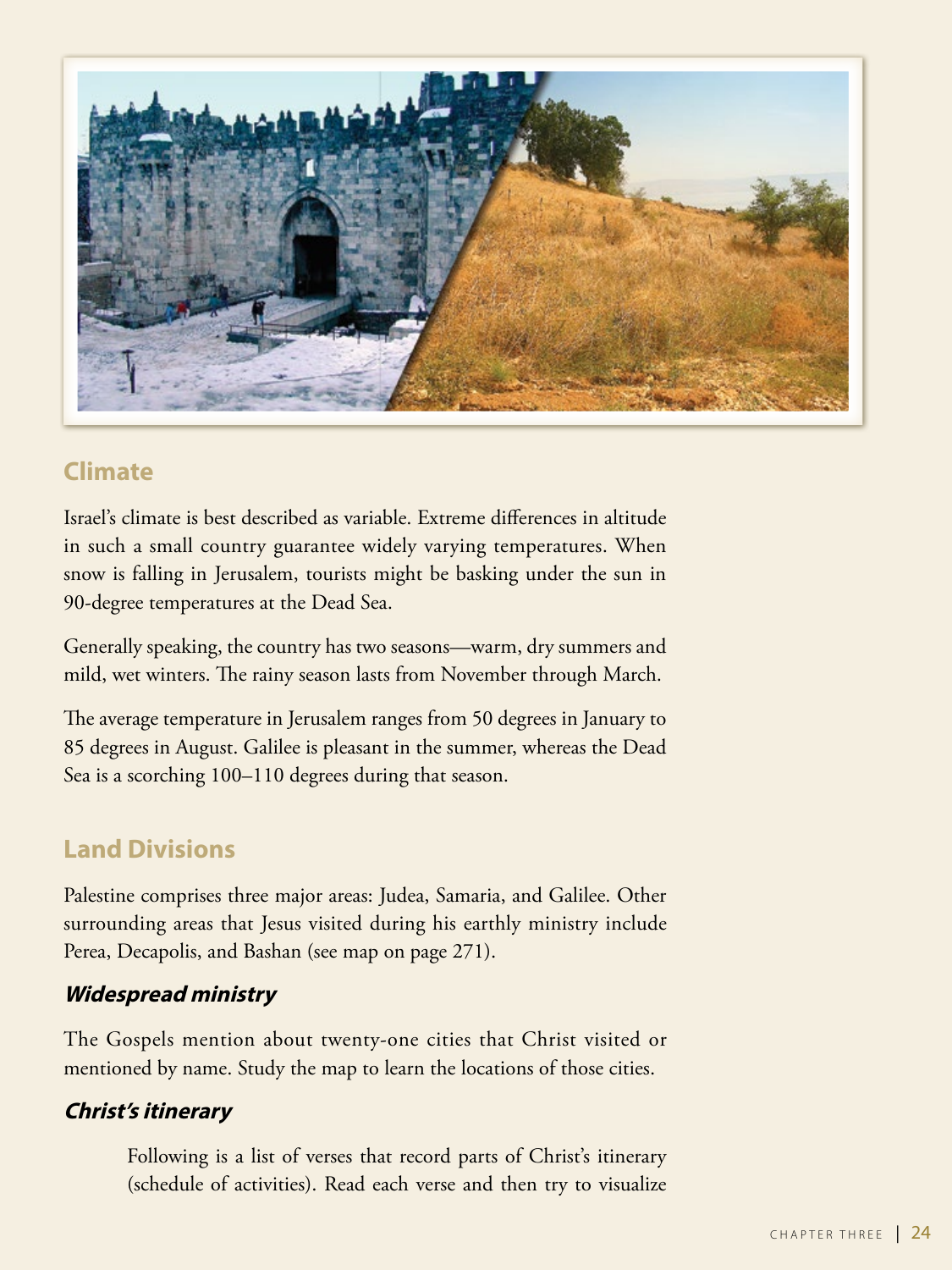

## **Climate**

Israel's climate is best described as variable. Extreme differences in altitude in such a small country guarantee widely varying temperatures. When snow is falling in Jerusalem, tourists might be basking under the sun in 90-degree temperatures at the Dead Sea.

Generally speaking, the country has two seasons—warm, dry summers and mild, wet winters. The rainy season lasts from November through March.

The average temperature in Jerusalem ranges from 50 degrees in January to 85 degrees in August. Galilee is pleasant in the summer, whereas the Dead Sea is a scorching 100–110 degrees during that season.

## **Land Divisions**

Palestine comprises three major areas: Judea, Samaria, and Galilee. Other surrounding areas that Jesus visited during his earthly ministry include Perea, Decapolis, and Bashan (see map on page 271).

## **Widespread ministry**

The Gospels mention about twenty-one cities that Christ visited or mentioned by name. Study the map to learn the locations of those cities.

## **Christ's itinerary**

Following is a list of verses that record parts of Christ's itinerary (schedule of activities). Read each verse and then try to visualize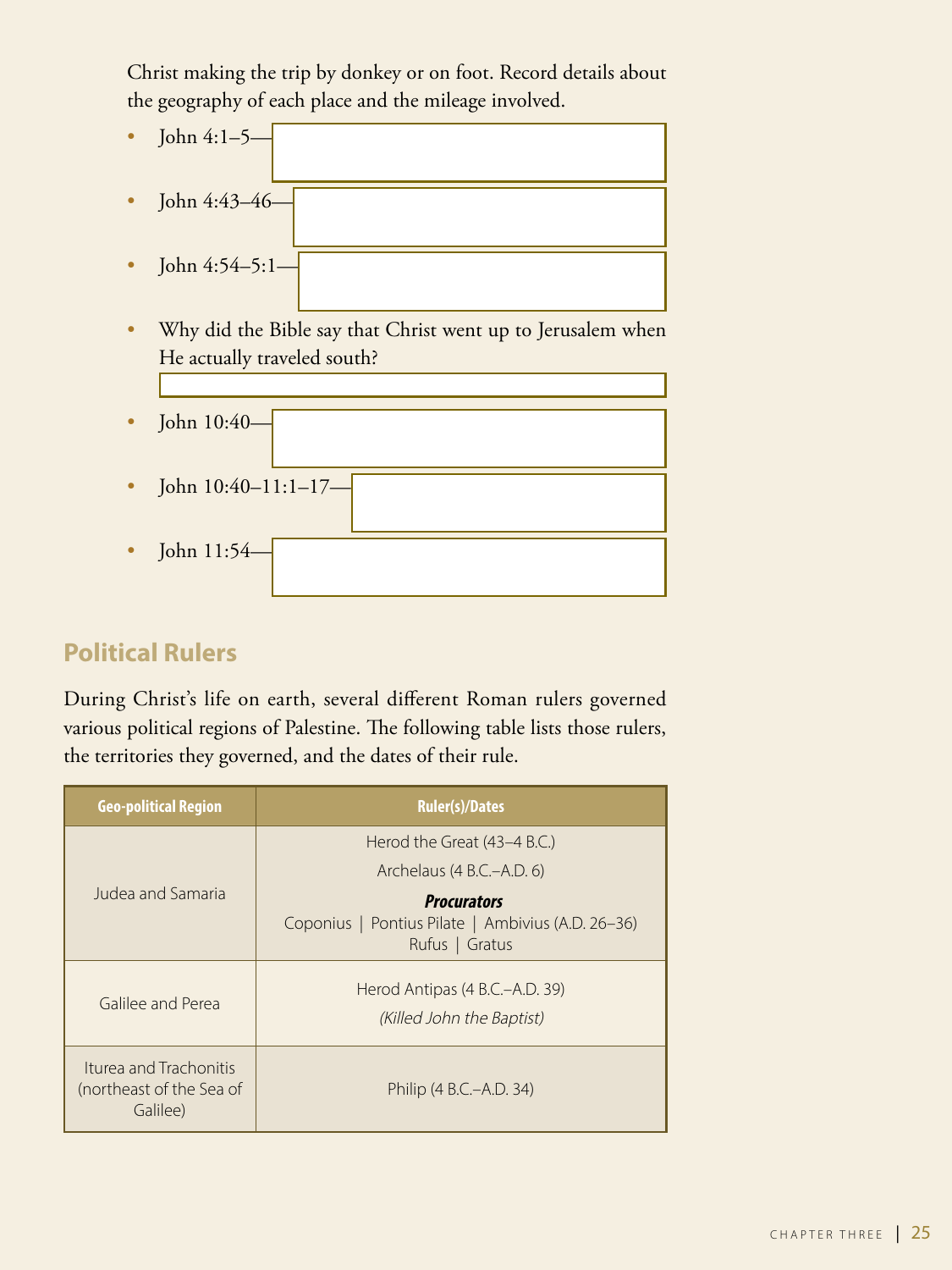Christ making the trip by donkey or on foot. Record details about the geography of each place and the mileage involved.

- John 4:1-5-• John 4:43–46— • John 4:54-5:1-
- Why did the Bible say that Christ went up to Jerusalem when He actually traveled south?



## **Political Rulers**

During Christ's life on earth, several different Roman rulers governed various political regions of Palestine. The following table lists those rulers, the territories they governed, and the dates of their rule.

| <b>Geo-political Region</b>                                    | <b>Ruler(s)/Dates</b>                                                                     |
|----------------------------------------------------------------|-------------------------------------------------------------------------------------------|
| Judea and Samaria                                              | Herod the Great (43–4 B.C.)                                                               |
|                                                                | Archelaus (4 B.C.–A.D. 6)                                                                 |
|                                                                | <b>Procurators</b><br>Coponius   Pontius Pilate   Ambivius (A.D. 26-36)<br>Rufus   Gratus |
| Galilee and Perea                                              | Herod Antipas (4 B.C.–A.D. 39)<br>(Killed John the Baptist)                               |
| Iturea and Trachonitis<br>(northeast of the Sea of<br>Galilee) | Philip (4 B.C.–A.D. 34)                                                                   |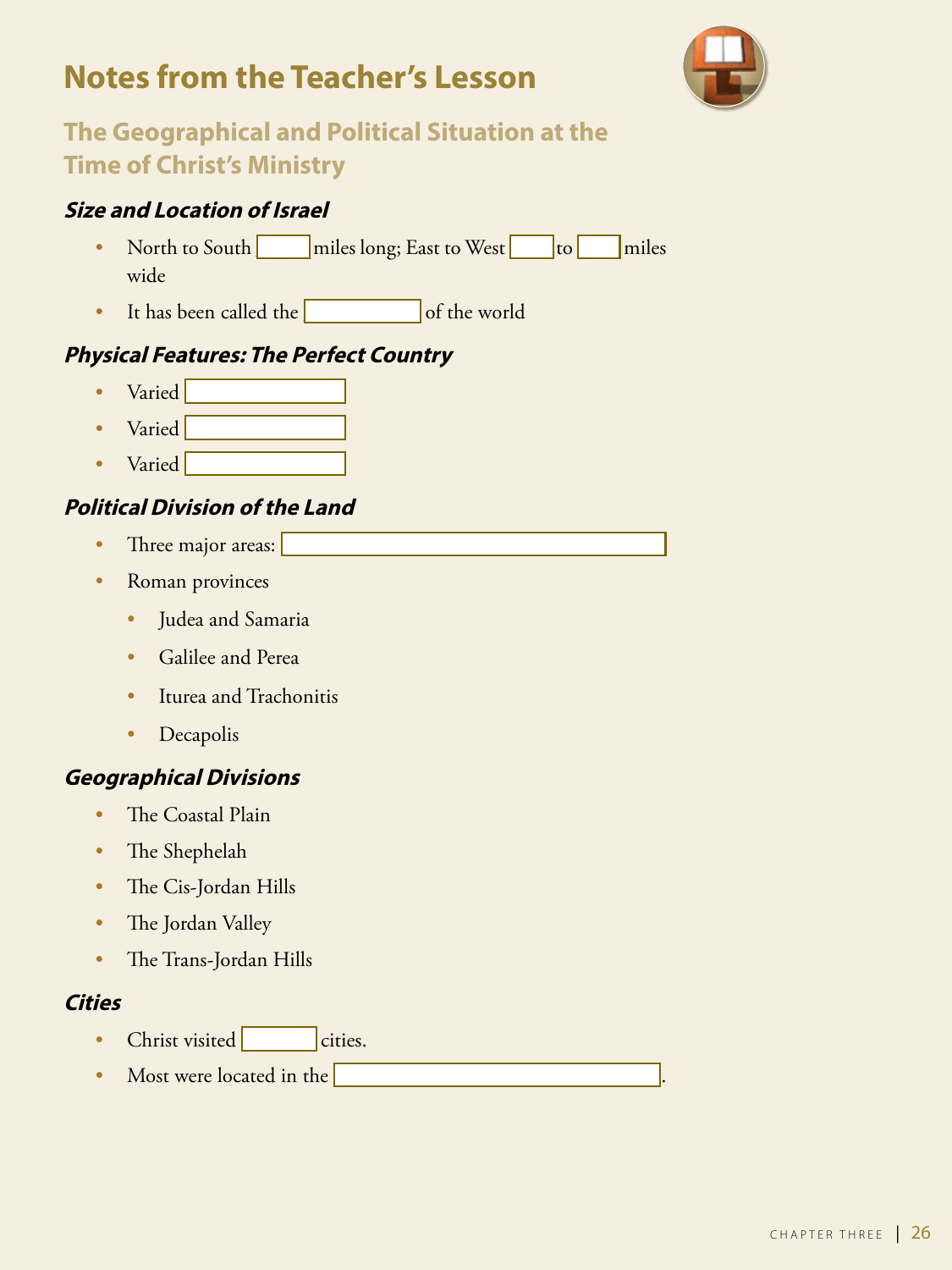## **Notes from the Teacher's Lesson**



## **The Geographical and Political Situation at the Time of Christ's Ministry**

## **Size and Location of Israel**

- North to South  $\Box$  miles long; East to West  $\Box$  to  $\Box$  miles wide
- It has been called the  $\Box$  of the world

## **Physical Features: The Perfect Country**

- Varied
- Varied |
- Varied

## **Political Division of the Land**

- Three major areas:
- Roman provinces
	- Judea and Samaria
	- Galilee and Perea
	- Iturea and Trachonitis
	- Decapolis

## **Geographical Divisions**

- The Coastal Plain
- The Shephelah
- The Cis-Jordan Hills
- The Jordan Valley
- The Trans-Jordan Hills

## **Cities**

- Christ visited cities.
- Most were located in the